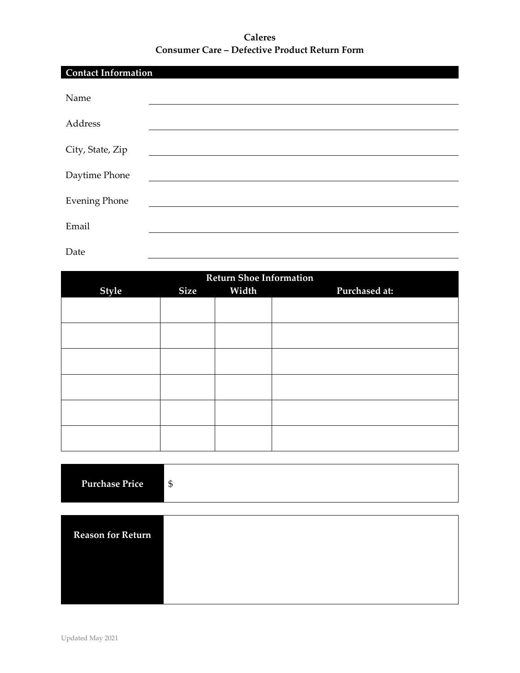## **Caleres Consumer Care – Defective Product Return Form**

| <b>Contact Information</b> |  |  |  |
|----------------------------|--|--|--|
| Name                       |  |  |  |
| Address                    |  |  |  |
| City, State, Zip           |  |  |  |
| Daytime Phone              |  |  |  |
| <b>Evening Phone</b>       |  |  |  |
| Email                      |  |  |  |
| Date                       |  |  |  |

| <b>Return Shoe Information</b> |             |       |               |  |  |
|--------------------------------|-------------|-------|---------------|--|--|
| <b>Style</b>                   | <b>Size</b> | Width | Purchased at: |  |  |
|                                |             |       |               |  |  |
|                                |             |       |               |  |  |
|                                |             |       |               |  |  |
|                                |             |       |               |  |  |
|                                |             |       |               |  |  |
|                                |             |       |               |  |  |
|                                |             |       |               |  |  |
|                                |             |       |               |  |  |
|                                |             |       |               |  |  |
|                                |             |       |               |  |  |
|                                |             |       |               |  |  |
|                                |             |       |               |  |  |

| <b>Purchase Price</b>    | $\mathfrak{S}$ |
|--------------------------|----------------|
|                          |                |
| <b>Reason for Return</b> |                |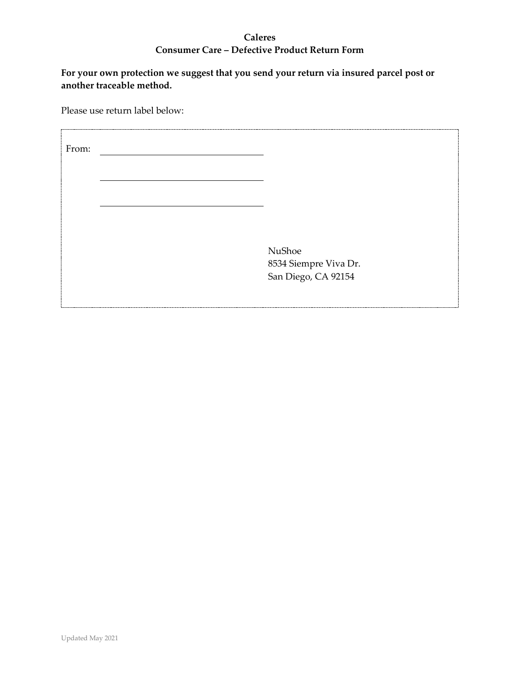## **Caleres Consumer Care – Defective Product Return Form**

**For your own protection we suggest that you send your return via insured parcel post or another traceable method.**

Please use return label below:

| From: |                                              |
|-------|----------------------------------------------|
|       |                                              |
|       |                                              |
|       | NuShoe                                       |
|       | 8534 Siempre Viva Dr.<br>San Diego, CA 92154 |
|       |                                              |